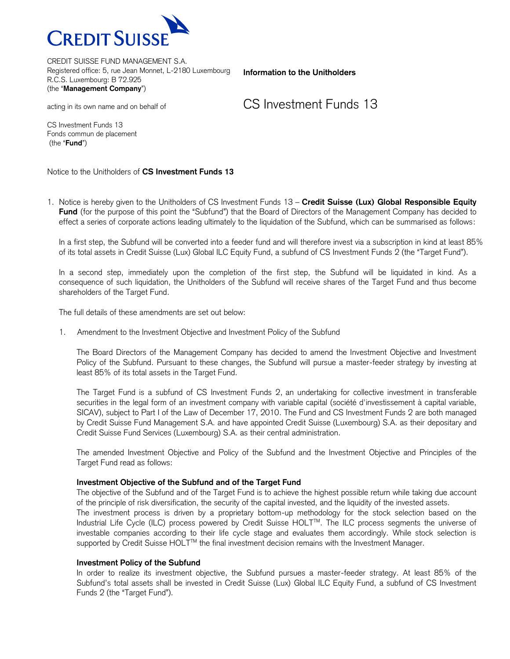

**Information to the Unitholders**

CS Investment Funds 13

CS Investment Funds 13

acting in its own name and on behalf of

Fonds commun de placement (the "**Fund**")

Notice to the Unitholders of **CS Investment Funds 13**

1. Notice is hereby given to the Unitholders of CS Investment Funds 13 – **Credit Suisse (Lux) Global Responsible Equity Fund** (for the purpose of this point the "Subfund") that the Board of Directors of the Management Company has decided to effect a series of corporate actions leading ultimately to the liquidation of the Subfund, which can be summarised as follows:

In a first step, the Subfund will be converted into a feeder fund and will therefore invest via a subscription in kind at least 85% of its total assets in Credit Suisse (Lux) Global ILC Equity Fund, a subfund of CS Investment Funds 2 (the "Target Fund").

In a second step, immediately upon the completion of the first step, the Subfund will be liquidated in kind. As a consequence of such liquidation, the Unitholders of the Subfund will receive shares of the Target Fund and thus become shareholders of the Target Fund.

The full details of these amendments are set out below:

1. Amendment to the Investment Objective and Investment Policy of the Subfund

The Board Directors of the Management Company has decided to amend the Investment Objective and Investment Policy of the Subfund. Pursuant to these changes, the Subfund will pursue a master-feeder strategy by investing at least 85% of its total assets in the Target Fund.

The Target Fund is a subfund of CS Investment Funds 2, an undertaking for collective investment in transferable securities in the legal form of an investment company with variable capital (société d'investissement à capital variable, SICAV), subject to Part I of the Law of December 17, 2010. The Fund and CS Investment Funds 2 are both managed by Credit Suisse Fund Management S.A. and have appointed Credit Suisse (Luxembourg) S.A. as their depositary and Credit Suisse Fund Services (Luxembourg) S.A. as their central administration.

The amended Investment Objective and Policy of the Subfund and the Investment Objective and Principles of the Target Fund read as follows:

## **Investment Objective of the Subfund and of the Target Fund**

The objective of the Subfund and of the Target Fund is to achieve the highest possible return while taking due account of the principle of risk diversification, the security of the capital invested, and the liquidity of the invested assets.

The investment process is driven by a proprietary bottom-up methodology for the stock selection based on the Industrial Life Cycle (ILC) process powered by Credit Suisse HOLTTM. The ILC process segments the universe of investable companies according to their life cycle stage and evaluates them accordingly. While stock selection is supported by Credit Suisse HOLT<sup>™</sup> the final investment decision remains with the Investment Manager.

## **Investment Policy of the Subfund**

In order to realize its investment objective, the Subfund pursues a master-feeder strategy. At least 85% of the Subfund's total assets shall be invested in Credit Suisse (Lux) Global ILC Equity Fund, a subfund of CS Investment Funds 2 (the "Target Fund").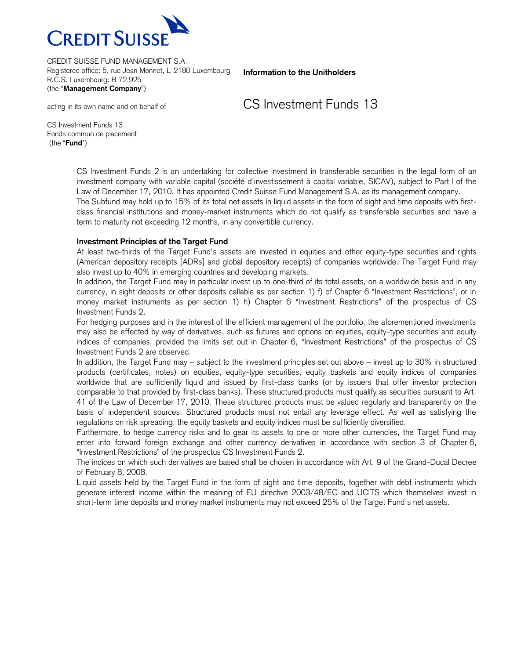

**Information to the Unitholders**

CS Investment Funds 13

CS Investment Funds 13 Fonds commun de placement (the "**Fund**")

acting in its own name and on behalf of

CS Investment Funds 2 is an undertaking for collective investment in transferable securities in the legal form of an investment company with variable capital (société d'investissement à capital variable, SICAV), subject to Part I of the Law of December 17, 2010. It has appointed Credit Suisse Fund Management S.A. as its management company. The Subfund may hold up to 15% of its total net assets in liquid assets in the form of sight and time deposits with firstclass financial institutions and money-market instruments which do not qualify as transferable securities and have a term to maturity not exceeding 12 months, in any convertible currency.

## **Investment Principles of the Target Fund**

At least two-thirds of the Target Fund's assets are invested in equities and other equity-type securities and rights (American depository receipts [ADRs] and global depository receipts) of companies worldwide. The Target Fund may also invest up to 40% in emerging countries and developing markets.

In addition, the Target Fund may in particular invest up to one-third of its total assets, on a worldwide basis and in any currency, in sight deposits or other deposits callable as per section 1) f) of Chapter 6 "Investment Restrictions", or in money market instruments as per section 1) h) Chapter 6 "Investment Restrictions" of the prospectus of CS Investment Funds 2.

For hedging purposes and in the interest of the efficient management of the portfolio, the aforementioned investments may also be effected by way of derivatives, such as futures and options on equities, equity-type securities and equity indices of companies, provided the limits set out in Chapter 6, "Investment Restrictions" of the prospectus of CS Investment Funds 2 are observed.

In addition, the Target Fund may – subject to the investment principles set out above – invest up to 30% in structured products (certificates, notes) on equities, equity-type securities, equity baskets and equity indices of companies worldwide that are sufficiently liquid and issued by first-class banks (or by issuers that offer investor protection comparable to that provided by first-class banks). These structured products must qualify as securities pursuant to Art. 41 of the Law of December 17, 2010. These structured products must be valued regularly and transparently on the basis of independent sources. Structured products must not entail any leverage effect. As well as satisfying the regulations on risk spreading, the equity baskets and equity indices must be sufficiently diversified.

Furthermore, to hedge currency risks and to gear its assets to one or more other currencies, the Target Fund may enter into forward foreign exchange and other currency derivatives in accordance with section 3 of Chapter 6, "Investment Restrictions" of the prospectus CS Investment Funds 2.

The indices on which such derivatives are based shall be chosen in accordance with Art. 9 of the Grand-Ducal Decree of February 8, 2008.

Liquid assets held by the Target Fund in the form of sight and time deposits, together with debt instruments which generate interest income within the meaning of EU directive 2003/48/EC and UCITS which themselves invest in short-term time deposits and money market instruments may not exceed 25% of the Target Fund's net assets.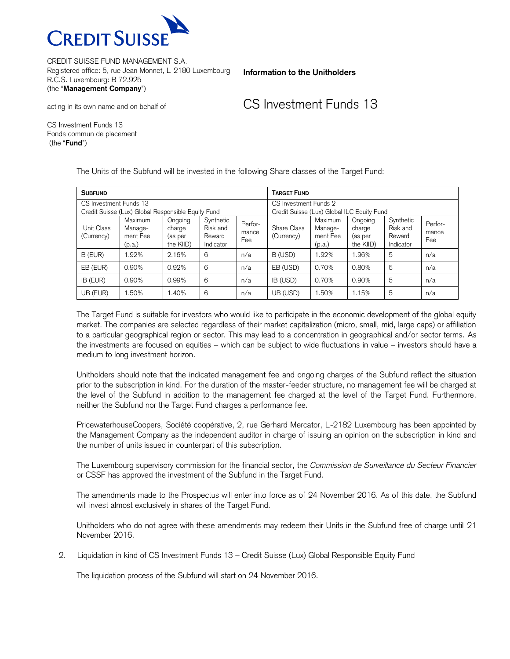

**Information to the Unitholders**

CS Investment Funds 13

CS Investment Funds 13 Fonds commun de placement (the "**Fund**")

acting in its own name and on behalf of

The Units of the Subfund will be invested in the following Share classes of the Target Fund:

| <b>SUBFUND</b>                                                               |                                                 |                                           |                                              |                         | <b>TARGET FUND</b>                                                  |                                          |                                           |                                              |                         |
|------------------------------------------------------------------------------|-------------------------------------------------|-------------------------------------------|----------------------------------------------|-------------------------|---------------------------------------------------------------------|------------------------------------------|-------------------------------------------|----------------------------------------------|-------------------------|
| CS Investment Funds 13<br>Credit Suisse (Lux) Global Responsible Equity Fund |                                                 |                                           |                                              |                         | CS Investment Funds 2<br>Credit Suisse (Lux) Global ILC Equity Fund |                                          |                                           |                                              |                         |
| <b>Unit Class</b><br>(Currency)                                              | <b>Maximum</b><br>Manage-<br>ment Fee<br>(p.a.) | Ongoing<br>charge<br>(as per<br>the KIID) | Synthetic<br>Risk and<br>Reward<br>Indicator | Perfor-<br>mance<br>Fee | Share Class<br>(Currency)                                           | Maximum<br>Manage-<br>ment Fee<br>(p.a.) | Ongoing<br>charge<br>(as per<br>the KIID) | Synthetic<br>Risk and<br>Reward<br>Indicator | Perfor-<br>mance<br>Fee |
| B (EUR)                                                                      | $.92\%$                                         | 2.16%                                     | 6                                            | n/a                     | B (USD)                                                             | 1.92%                                    | 1.96%                                     | 5                                            | n/a                     |
| EB (EUR)                                                                     | 0.90%                                           | 0.92%                                     | 6                                            | n/a                     | EB (USD)                                                            | 0.70%                                    | 0.80%                                     | 5                                            | n/a                     |
| IB (EUR)                                                                     | $0.90\%$                                        | 0.99%                                     | 6                                            | n/a                     | IB (USD)                                                            | 0.70%                                    | 0.90%                                     | 5                                            | n/a                     |
| UB (EUR)                                                                     | .50%                                            | .40%                                      | 6                                            | n/a                     | UB (USD)                                                            | 1.50%                                    | 1.15%                                     | 5                                            | n/a                     |

The Target Fund is suitable for investors who would like to participate in the economic development of the global equity market. The companies are selected regardless of their market capitalization (micro, small, mid, large caps) or affiliation to a particular geographical region or sector. This may lead to a concentration in geographical and/or sector terms. As the investments are focused on equities – which can be subject to wide fluctuations in value – investors should have a medium to long investment horizon.

Unitholders should note that the indicated management fee and ongoing charges of the Subfund reflect the situation prior to the subscription in kind. For the duration of the master-feeder structure, no management fee will be charged at the level of the Subfund in addition to the management fee charged at the level of the Target Fund. Furthermore, neither the Subfund nor the Target Fund charges a performance fee.

PricewaterhouseCoopers, Société coopérative, 2, rue Gerhard Mercator, L-2182 Luxembourg has been appointed by the Management Company as the independent auditor in charge of issuing an opinion on the subscription in kind and the number of units issued in counterpart of this subscription.

The Luxembourg supervisory commission for the financial sector, the *Commission de Surveillance du Secteur Financier* or CSSF has approved the investment of the Subfund in the Target Fund.

The amendments made to the Prospectus will enter into force as of 24 November 2016. As of this date, the Subfund will invest almost exclusively in shares of the Target Fund.

Unitholders who do not agree with these amendments may redeem their Units in the Subfund free of charge until 21 November 2016.

2. Liquidation in kind of CS Investment Funds 13 – Credit Suisse (Lux) Global Responsible Equity Fund

The liquidation process of the Subfund will start on 24 November 2016.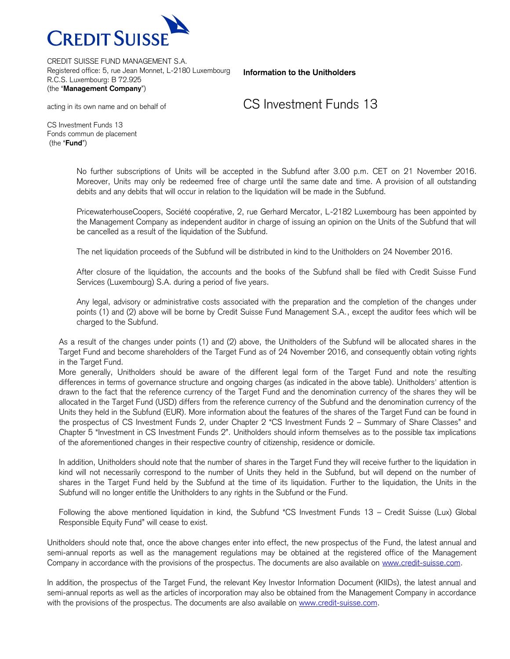

**Information to the Unitholders**

CS Investment Funds 13

CS Investment Funds 13 Fonds commun de placement (the "**Fund**")

acting in its own name and on behalf of

No further subscriptions of Units will be accepted in the Subfund after 3.00 p.m. CET on 21 November 2016. Moreover, Units may only be redeemed free of charge until the same date and time. A provision of all outstanding debits and any debits that will occur in relation to the liquidation will be made in the Subfund.

PricewaterhouseCoopers, Société coopérative, 2, rue Gerhard Mercator, L-2182 Luxembourg has been appointed by the Management Company as independent auditor in charge of issuing an opinion on the Units of the Subfund that will be cancelled as a result of the liquidation of the Subfund.

The net liquidation proceeds of the Subfund will be distributed in kind to the Unitholders on 24 November 2016.

After closure of the liquidation, the accounts and the books of the Subfund shall be filed with Credit Suisse Fund Services (Luxembourg) S.A. during a period of five years.

Any legal, advisory or administrative costs associated with the preparation and the completion of the changes under points (1) and (2) above will be borne by Credit Suisse Fund Management S.A., except the auditor fees which will be charged to the Subfund.

As a result of the changes under points (1) and (2) above, the Unitholders of the Subfund will be allocated shares in the Target Fund and become shareholders of the Target Fund as of 24 November 2016, and consequently obtain voting rights in the Target Fund.

More generally, Unitholders should be aware of the different legal form of the Target Fund and note the resulting differences in terms of governance structure and ongoing charges (as indicated in the above table). Unitholders' attention is drawn to the fact that the reference currency of the Target Fund and the denomination currency of the shares they will be allocated in the Target Fund (USD) differs from the reference currency of the Subfund and the denomination currency of the Units they held in the Subfund (EUR). More information about the features of the shares of the Target Fund can be found in the prospectus of CS Investment Funds 2, under Chapter 2 "CS Investment Funds 2 – Summary of Share Classes" and Chapter 5 "Investment in CS Investment Funds 2". Unitholders should inform themselves as to the possible tax implications of the aforementioned changes in their respective country of citizenship, residence or domicile.

In addition, Unitholders should note that the number of shares in the Target Fund they will receive further to the liquidation in kind will not necessarily correspond to the number of Units they held in the Subfund, but will depend on the number of shares in the Target Fund held by the Subfund at the time of its liquidation. Further to the liquidation, the Units in the Subfund will no longer entitle the Unitholders to any rights in the Subfund or the Fund.

Following the above mentioned liquidation in kind, the Subfund "CS Investment Funds 13 – Credit Suisse (Lux) Global Responsible Equity Fund" will cease to exist.

Unitholders should note that, once the above changes enter into effect, the new prospectus of the Fund, the latest annual and semi-annual reports as well as the management regulations may be obtained at the registered office of the Management Company in accordance with the provisions of the prospectus. The documents are also available on [www.credit-suisse.com.](http://www.credit-suisse.com/)

In addition, the prospectus of the Target Fund, the relevant Key Investor Information Document (KIIDs), the latest annual and semi-annual reports as well as the articles of incorporation may also be obtained from the Management Company in accordance with the provisions of the prospectus. The documents are also available on [www.credit-suisse.com.](http://www.credit-suisse.com/)